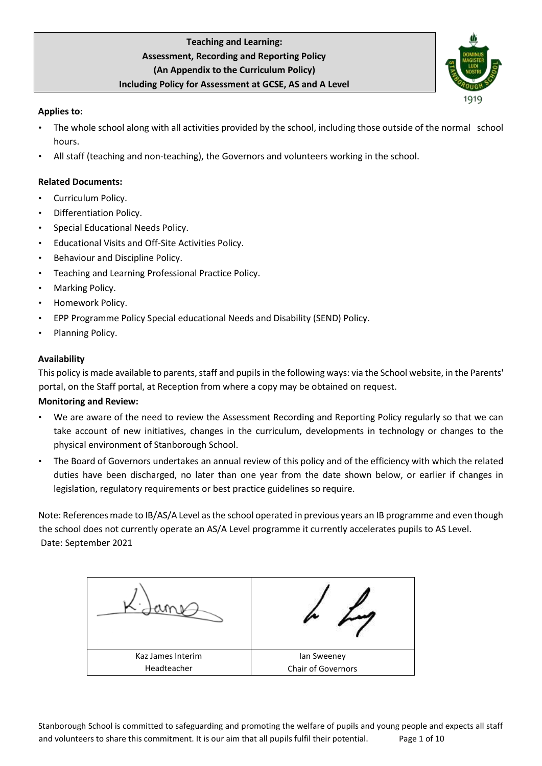

# **Applies to:**

- The whole school along with all activities provided by the school, including those outside of the normal school hours.
- All staff (teaching and non-teaching), the Governors and volunteers working in the school.

# **Related Documents:**

- Curriculum Policy.
- Differentiation Policy.
- Special Educational Needs Policy.
- Educational Visits and Off-Site Activities Policy.
- Behaviour and Discipline Policy.
- Teaching and Learning Professional Practice Policy.
- Marking Policy.
- Homework Policy.
- EPP Programme Policy Special educational Needs and Disability (SEND) Policy.
- Planning Policy.

# **Availability**

This policy is made available to parents, staff and pupils in the following ways: via the School website, in the Parents' portal, on the Staff portal, at Reception from where a copy may be obtained on request.

# **Monitoring and Review:**

- We are aware of the need to review the Assessment Recording and Reporting Policy regularly so that we can take account of new initiatives, changes in the curriculum, developments in technology or changes to the physical environment of Stanborough School.
- The Board of Governors undertakes an annual review of this policy and of the efficiency with which the related duties have been discharged, no later than one year from the date shown below, or earlier if changes in legislation, regulatory requirements or best practice guidelines so require.

Note: References made to IB/AS/A Level as the school operated in previous years an IB programme and even though the school does not currently operate an AS/A Level programme it currently accelerates pupils to AS Level. Date: September 2021

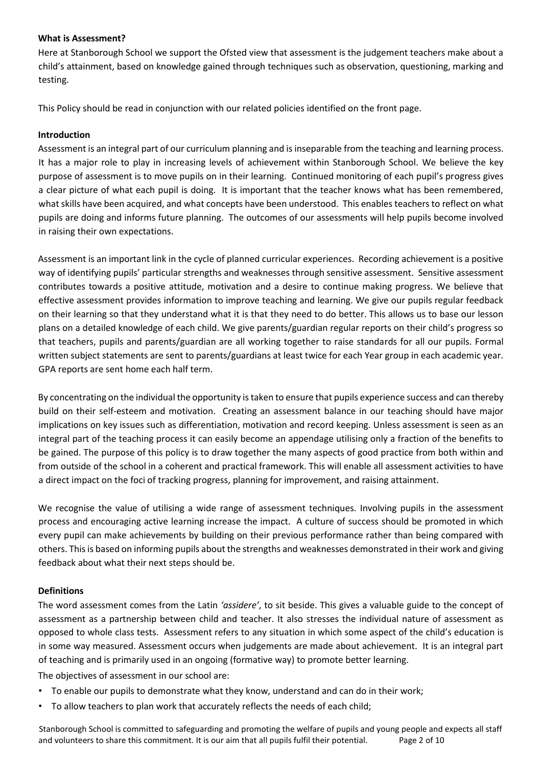# **What is Assessment?**

Here at Stanborough School we support the Ofsted view that assessment is the judgement teachers make about a child's attainment, based on knowledge gained through techniques such as observation, questioning, marking and testing.

This Policy should be read in conjunction with our related policies identified on the front page.

# **Introduction**

Assessment is an integral part of our curriculum planning and is inseparable from the teaching and learning process. It has a major role to play in increasing levels of achievement within Stanborough School. We believe the key purpose of assessment is to move pupils on in their learning. Continued monitoring of each pupil's progress gives a clear picture of what each pupil is doing. It is important that the teacher knows what has been remembered, what skills have been acquired, and what concepts have been understood. This enables teachers to reflect on what pupils are doing and informs future planning. The outcomes of our assessments will help pupils become involved in raising their own expectations.

Assessment is an important link in the cycle of planned curricular experiences. Recording achievement is a positive way of identifying pupils' particular strengths and weaknesses through sensitive assessment. Sensitive assessment contributes towards a positive attitude, motivation and a desire to continue making progress. We believe that effective assessment provides information to improve teaching and learning. We give our pupils regular feedback on their learning so that they understand what it is that they need to do better. This allows us to base our lesson plans on a detailed knowledge of each child. We give parents/guardian regular reports on their child's progress so that teachers, pupils and parents/guardian are all working together to raise standards for all our pupils. Formal written subject statements are sent to parents/guardians at least twice for each Year group in each academic year. GPA reports are sent home each half term.

By concentrating on the individual the opportunity is taken to ensure that pupils experience success and can thereby build on their self-esteem and motivation. Creating an assessment balance in our teaching should have major implications on key issues such as differentiation, motivation and record keeping. Unless assessment is seen as an integral part of the teaching process it can easily become an appendage utilising only a fraction of the benefits to be gained. The purpose of this policy is to draw together the many aspects of good practice from both within and from outside of the school in a coherent and practical framework. This will enable all assessment activities to have a direct impact on the foci of tracking progress, planning for improvement, and raising attainment.

We recognise the value of utilising a wide range of assessment techniques. Involving pupils in the assessment process and encouraging active learning increase the impact. A culture of success should be promoted in which every pupil can make achievements by building on their previous performance rather than being compared with others. This is based on informing pupils about the strengths and weaknesses demonstrated in their work and giving feedback about what their next steps should be.

# **Definitions**

The word assessment comes from the Latin *'assidere'*, to sit beside. This gives a valuable guide to the concept of assessment as a partnership between child and teacher. It also stresses the individual nature of assessment as opposed to whole class tests. Assessment refers to any situation in which some aspect of the child's education is in some way measured. Assessment occurs when judgements are made about achievement. It is an integral part of teaching and is primarily used in an ongoing (formative way) to promote better learning.

The objectives of assessment in our school are:

- To enable our pupils to demonstrate what they know, understand and can do in their work;
- To allow teachers to plan work that accurately reflects the needs of each child;

Stanborough School is committed to safeguarding and promoting the welfare of pupils and young people and expects all staff and volunteers to share this commitment. It is our aim that all pupils fulfil their potential. Page 2 of 10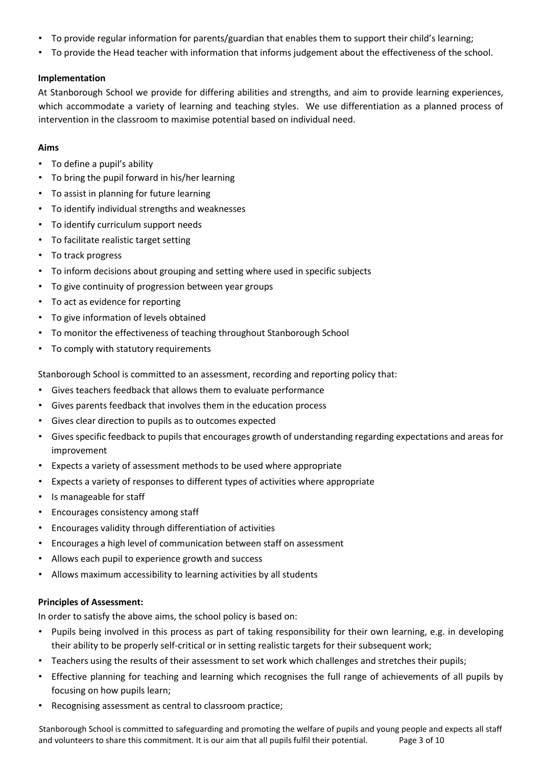- To provide regular information for parents/guardian that enables them to support their child's learning;
- To provide the Head teacher with information that informs judgement about the effectiveness of the school.

# **Implementation**

At Stanborough School we provide for differing abilities and strengths, and aim to provide learning experiences, which accommodate a variety of learning and teaching styles. We use differentiation as a planned process of intervention in the classroom to maximise potential based on individual need.

## **Aims**

- To define a pupil's ability
- To bring the pupil forward in his/her learning
- To assist in planning for future learning
- To identify individual strengths and weaknesses
- To identify curriculum support needs
- To facilitate realistic target setting
- To track progress
- To inform decisions about grouping and setting where used in specific subjects
- To give continuity of progression between year groups
- To act as evidence for reporting
- To give information of levels obtained
- To monitor the effectiveness of teaching throughout Stanborough School
- To comply with statutory requirements

Stanborough School is committed to an assessment, recording and reporting policy that:

- Gives teachers feedback that allows them to evaluate performance
- Gives parents feedback that involves them in the education process
- Gives clear direction to pupils as to outcomes expected
- Gives specific feedback to pupils that encourages growth of understanding regarding expectations and areas for improvement
- Expects a variety of assessment methods to be used where appropriate
- Expects a variety of responses to different types of activities where appropriate
- Is manageable for staff
- Encourages consistency among staff
- Encourages validity through differentiation of activities
- Encourages a high level of communication between staff on assessment
- Allows each pupil to experience growth and success
- Allows maximum accessibility to learning activities by all students

## **Principles of Assessment:**

In order to satisfy the above aims, the school policy is based on:

- Pupils being involved in this process as part of taking responsibility for their own learning, e.g. in developing their ability to be properly self-critical or in setting realistic targets for their subsequent work;
- Teachers using the results of their assessment to set work which challenges and stretches their pupils;
- Effective planning for teaching and learning which recognises the full range of achievements of all pupils by focusing on how pupils learn;
- Recognising assessment as central to classroom practice;

Stanborough School is committed to safeguarding and promoting the welfare of pupils and young people and expects all staff and volunteers to share this commitment. It is our aim that all pupils fulfil their potential. Page 3 of 10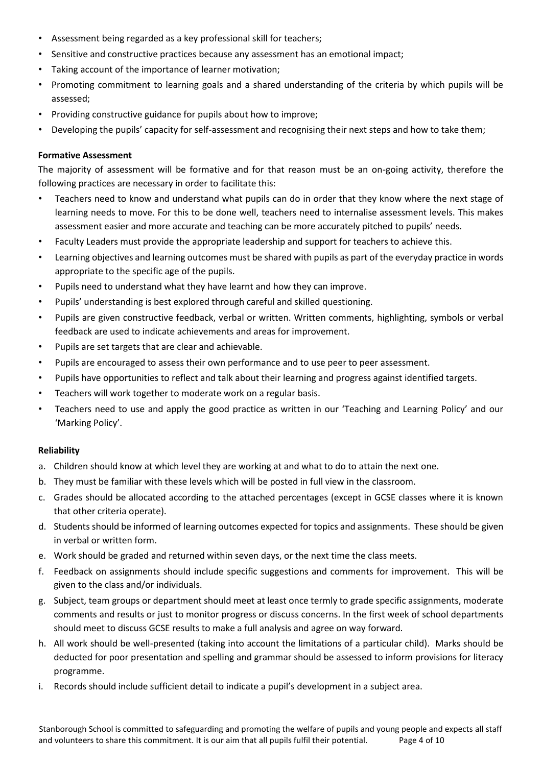- Assessment being regarded as a key professional skill for teachers;
- Sensitive and constructive practices because any assessment has an emotional impact;
- Taking account of the importance of learner motivation;
- Promoting commitment to learning goals and a shared understanding of the criteria by which pupils will be assessed;
- Providing constructive guidance for pupils about how to improve;
- Developing the pupils' capacity for self-assessment and recognising their next steps and how to take them;

## **Formative Assessment**

The majority of assessment will be formative and for that reason must be an on-going activity, therefore the following practices are necessary in order to facilitate this:

- Teachers need to know and understand what pupils can do in order that they know where the next stage of learning needs to move. For this to be done well, teachers need to internalise assessment levels. This makes assessment easier and more accurate and teaching can be more accurately pitched to pupils' needs.
- Faculty Leaders must provide the appropriate leadership and support for teachers to achieve this.
- Learning objectives and learning outcomes must be shared with pupils as part of the everyday practice in words appropriate to the specific age of the pupils.
- Pupils need to understand what they have learnt and how they can improve.
- Pupils' understanding is best explored through careful and skilled questioning.
- Pupils are given constructive feedback, verbal or written. Written comments, highlighting, symbols or verbal feedback are used to indicate achievements and areas for improvement.
- Pupils are set targets that are clear and achievable.
- Pupils are encouraged to assess their own performance and to use peer to peer assessment.
- Pupils have opportunities to reflect and talk about their learning and progress against identified targets.
- Teachers will work together to moderate work on a regular basis.
- Teachers need to use and apply the good practice as written in our 'Teaching and Learning Policy' and our 'Marking Policy'.

## **Reliability**

- a. Children should know at which level they are working at and what to do to attain the next one.
- b. They must be familiar with these levels which will be posted in full view in the classroom.
- c. Grades should be allocated according to the attached percentages (except in GCSE classes where it is known that other criteria operate).
- d. Students should be informed of learning outcomes expected for topics and assignments. These should be given in verbal or written form.
- e. Work should be graded and returned within seven days, or the next time the class meets.
- f. Feedback on assignments should include specific suggestions and comments for improvement. This will be given to the class and/or individuals.
- g. Subject, team groups or department should meet at least once termly to grade specific assignments, moderate comments and results or just to monitor progress or discuss concerns. In the first week of school departments should meet to discuss GCSE results to make a full analysis and agree on way forward.
- h. All work should be well-presented (taking into account the limitations of a particular child). Marks should be deducted for poor presentation and spelling and grammar should be assessed to inform provisions for literacy programme.
- i. Records should include sufficient detail to indicate a pupil's development in a subject area.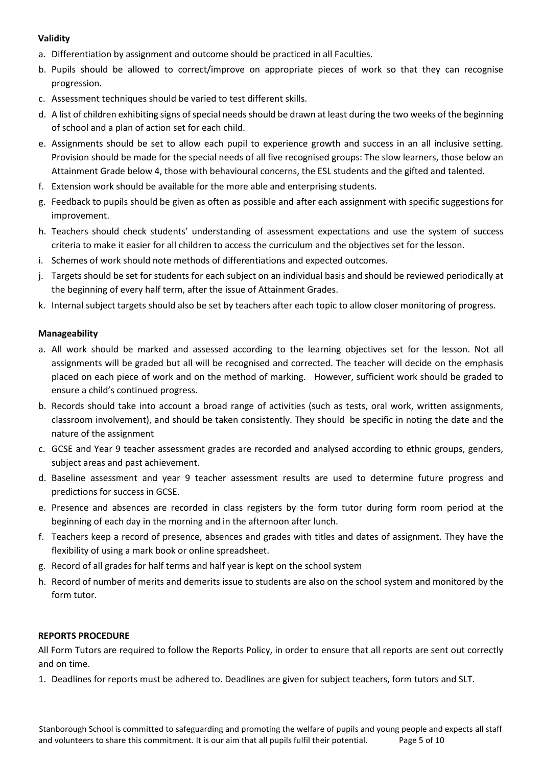# **Validity**

- a. Differentiation by assignment and outcome should be practiced in all Faculties.
- b. Pupils should be allowed to correct/improve on appropriate pieces of work so that they can recognise progression.
- c. Assessment techniques should be varied to test different skills.
- d. A list of children exhibiting signs of special needs should be drawn at least during the two weeks of the beginning of school and a plan of action set for each child.
- e. Assignments should be set to allow each pupil to experience growth and success in an all inclusive setting. Provision should be made for the special needs of all five recognised groups: The slow learners, those below an Attainment Grade below 4, those with behavioural concerns, the ESL students and the gifted and talented.
- f. Extension work should be available for the more able and enterprising students.
- g. Feedback to pupils should be given as often as possible and after each assignment with specific suggestions for improvement.
- h. Teachers should check students' understanding of assessment expectations and use the system of success criteria to make it easier for all children to access the curriculum and the objectives set for the lesson.
- i. Schemes of work should note methods of differentiations and expected outcomes.
- j. Targets should be set for students for each subject on an individual basis and should be reviewed periodically at the beginning of every half term, after the issue of Attainment Grades.
- k. Internal subject targets should also be set by teachers after each topic to allow closer monitoring of progress.

# **Manageability**

- a. All work should be marked and assessed according to the learning objectives set for the lesson. Not all assignments will be graded but all will be recognised and corrected. The teacher will decide on the emphasis placed on each piece of work and on the method of marking. However, sufficient work should be graded to ensure a child's continued progress.
- b. Records should take into account a broad range of activities (such as tests, oral work, written assignments, classroom involvement), and should be taken consistently. They should be specific in noting the date and the nature of the assignment
- c. GCSE and Year 9 teacher assessment grades are recorded and analysed according to ethnic groups, genders, subject areas and past achievement.
- d. Baseline assessment and year 9 teacher assessment results are used to determine future progress and predictions for success in GCSE.
- e. Presence and absences are recorded in class registers by the form tutor during form room period at the beginning of each day in the morning and in the afternoon after lunch.
- f. Teachers keep a record of presence, absences and grades with titles and dates of assignment. They have the flexibility of using a mark book or online spreadsheet.
- g. Record of all grades for half terms and half year is kept on the school system
- h. Record of number of merits and demerits issue to students are also on the school system and monitored by the form tutor.

# **REPORTS PROCEDURE**

All Form Tutors are required to follow the Reports Policy, in order to ensure that all reports are sent out correctly and on time.

1. Deadlines for reports must be adhered to. Deadlines are given for subject teachers, form tutors and SLT.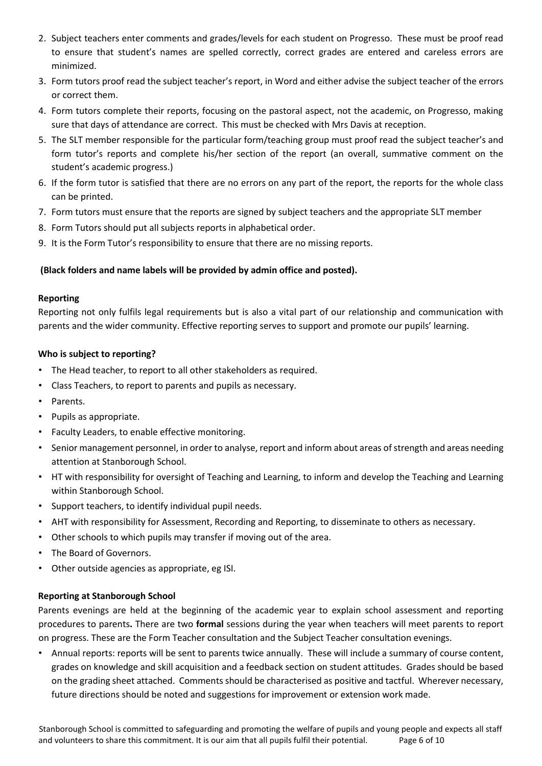- 2. Subject teachers enter comments and grades/levels for each student on Progresso. These must be proof read to ensure that student's names are spelled correctly, correct grades are entered and careless errors are minimized.
- 3. Form tutors proof read the subject teacher's report, in Word and either advise the subject teacher of the errors or correct them.
- 4. Form tutors complete their reports, focusing on the pastoral aspect, not the academic, on Progresso, making sure that days of attendance are correct. This must be checked with Mrs Davis at reception.
- 5. The SLT member responsible for the particular form/teaching group must proof read the subject teacher's and form tutor's reports and complete his/her section of the report (an overall, summative comment on the student's academic progress.)
- 6. If the form tutor is satisfied that there are no errors on any part of the report, the reports for the whole class can be printed.
- 7. Form tutors must ensure that the reports are signed by subject teachers and the appropriate SLT member
- 8. Form Tutors should put all subjects reports in alphabetical order.
- 9. It is the Form Tutor's responsibility to ensure that there are no missing reports.

# **(Black folders and name labels will be provided by admin office and posted).**

## **Reporting**

Reporting not only fulfils legal requirements but is also a vital part of our relationship and communication with parents and the wider community. Effective reporting serves to support and promote our pupils' learning.

## **Who is subject to reporting?**

- The Head teacher, to report to all other stakeholders as required.
- Class Teachers, to report to parents and pupils as necessary.
- Parents.
- Pupils as appropriate.
- Faculty Leaders, to enable effective monitoring.
- Senior management personnel, in order to analyse, report and inform about areas of strength and areas needing attention at Stanborough School.
- HT with responsibility for oversight of Teaching and Learning, to inform and develop the Teaching and Learning within Stanborough School.
- Support teachers, to identify individual pupil needs.
- AHT with responsibility for Assessment, Recording and Reporting, to disseminate to others as necessary.
- Other schools to which pupils may transfer if moving out of the area.
- The Board of Governors.
- Other outside agencies as appropriate, eg ISI.

## **Reporting at Stanborough School**

Parents evenings are held at the beginning of the academic year to explain school assessment and reporting procedures to parents**.** There are two **formal** sessions during the year when teachers will meet parents to report on progress. These are the Form Teacher consultation and the Subject Teacher consultation evenings.

• Annual reports: reports will be sent to parents twice annually. These will include a summary of course content, grades on knowledge and skill acquisition and a feedback section on student attitudes. Grades should be based on the grading sheet attached. Comments should be characterised as positive and tactful. Wherever necessary, future directions should be noted and suggestions for improvement or extension work made.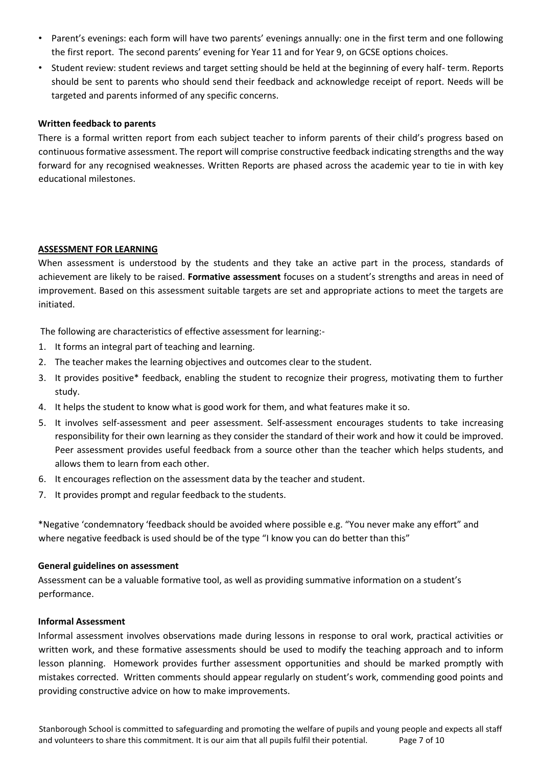- Parent's evenings: each form will have two parents' evenings annually: one in the first term and one following the first report. The second parents' evening for Year 11 and for Year 9, on GCSE options choices.
- Student review: student reviews and target setting should be held at the beginning of every half- term. Reports should be sent to parents who should send their feedback and acknowledge receipt of report. Needs will be targeted and parents informed of any specific concerns.

# **Written feedback to parents**

There is a formal written report from each subject teacher to inform parents of their child's progress based on continuous formative assessment. The report will comprise constructive feedback indicating strengths and the way forward for any recognised weaknesses. Written Reports are phased across the academic year to tie in with key educational milestones.

# **ASSESSMENT FOR LEARNING**

When assessment is understood by the students and they take an active part in the process, standards of achievement are likely to be raised. **Formative assessment** focuses on a student's strengths and areas in need of improvement. Based on this assessment suitable targets are set and appropriate actions to meet the targets are initiated.

The following are characteristics of effective assessment for learning:-

- 1. It forms an integral part of teaching and learning.
- 2. The teacher makes the learning objectives and outcomes clear to the student.
- 3. It provides positive\* feedback, enabling the student to recognize their progress, motivating them to further study.
- 4. It helps the student to know what is good work for them, and what features make it so.
- 5. It involves self-assessment and peer assessment. Self-assessment encourages students to take increasing responsibility for their own learning as they consider the standard of their work and how it could be improved. Peer assessment provides useful feedback from a source other than the teacher which helps students, and allows them to learn from each other.
- 6. It encourages reflection on the assessment data by the teacher and student.
- 7. It provides prompt and regular feedback to the students.

\*Negative 'condemnatory 'feedback should be avoided where possible e.g. "You never make any effort" and where negative feedback is used should be of the type "I know you can do better than this"

## **General guidelines on assessment**

Assessment can be a valuable formative tool, as well as providing summative information on a student's performance.

## **Informal Assessment**

Informal assessment involves observations made during lessons in response to oral work, practical activities or written work, and these formative assessments should be used to modify the teaching approach and to inform lesson planning. Homework provides further assessment opportunities and should be marked promptly with mistakes corrected. Written comments should appear regularly on student's work, commending good points and providing constructive advice on how to make improvements.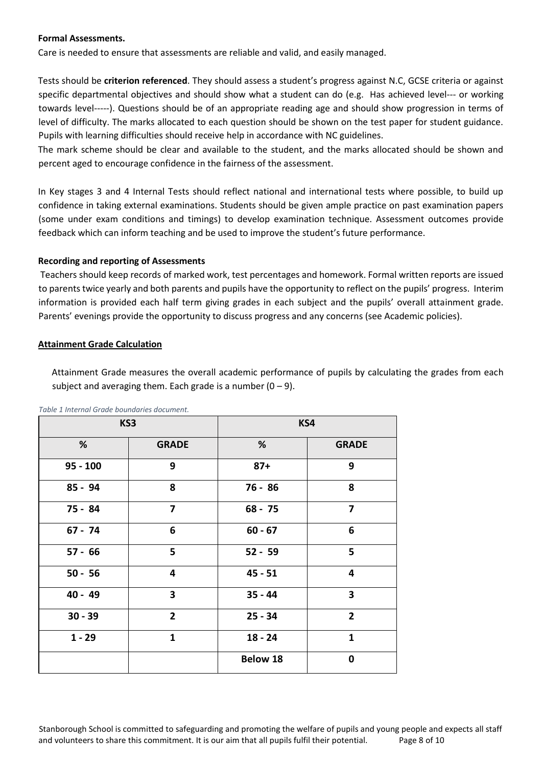## **Formal Assessments.**

Care is needed to ensure that assessments are reliable and valid, and easily managed.

Tests should be **criterion referenced**. They should assess a student's progress against N.C, GCSE criteria or against specific departmental objectives and should show what a student can do (e.g. Has achieved level--- or working towards level-----). Questions should be of an appropriate reading age and should show progression in terms of level of difficulty. The marks allocated to each question should be shown on the test paper for student guidance. Pupils with learning difficulties should receive help in accordance with NC guidelines.

The mark scheme should be clear and available to the student, and the marks allocated should be shown and percent aged to encourage confidence in the fairness of the assessment.

In Key stages 3 and 4 Internal Tests should reflect national and international tests where possible, to build up confidence in taking external examinations. Students should be given ample practice on past examination papers (some under exam conditions and timings) to develop examination technique. Assessment outcomes provide feedback which can inform teaching and be used to improve the student's future performance.

#### **Recording and reporting of Assessments**

Teachers should keep records of marked work, test percentages and homework. Formal written reports are issued to parents twice yearly and both parents and pupils have the opportunity to reflect on the pupils' progress. Interim information is provided each half term giving grades in each subject and the pupils' overall attainment grade. Parents' evenings provide the opportunity to discuss progress and any concerns (see Academic policies).

#### **Attainment Grade Calculation**

Attainment Grade measures the overall academic performance of pupils by calculating the grades from each subject and averaging them. Each grade is a number  $(0 - 9)$ .

| KS3        |                | KS4                         |                |
|------------|----------------|-----------------------------|----------------|
| %          | <b>GRADE</b>   | %                           | <b>GRADE</b>   |
| $95 - 100$ | 9              | 9<br>$87+$                  |                |
| 85 - 94    | 8              | 76 - 86                     | 8              |
| 75 - 84    | 7              | $68 - 75$                   | $\overline{7}$ |
| $67 - 74$  | 6              | $60 - 67$                   | 6              |
| $57 - 66$  | 5              | $52 - 59$                   | 5              |
| $50 - 56$  | 4              | $45 - 51$                   | 4              |
| $40 - 49$  | 3              | 3<br>$35 - 44$              |                |
| $30 - 39$  | $\overline{2}$ | $25 - 34$<br>$\overline{2}$ |                |
| $1 - 29$   | $\mathbf{1}$   | $18 - 24$                   | $\mathbf{1}$   |
|            |                | <b>Below 18</b>             | $\mathbf 0$    |

*Table 1 Internal Grade boundaries document.*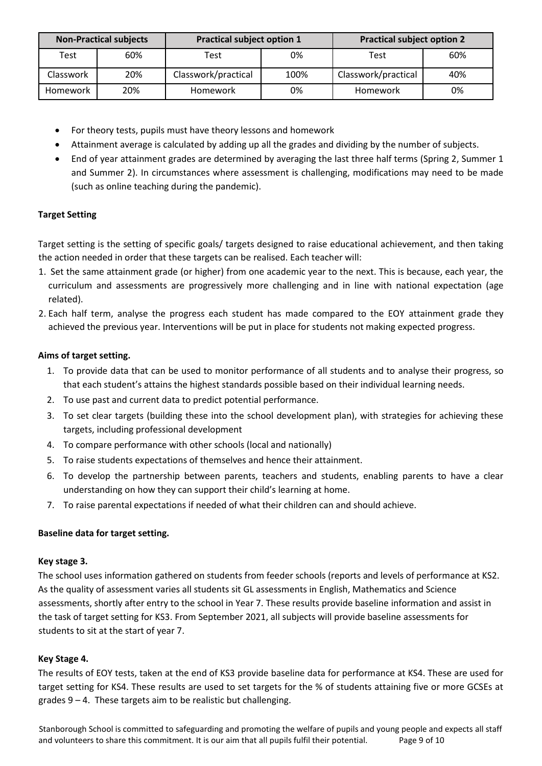| <b>Non-Practical subjects</b> |     | <b>Practical subject option 1</b> |      | <b>Practical subject option 2</b> |     |
|-------------------------------|-----|-----------------------------------|------|-----------------------------------|-----|
| Test                          | 60% | Test                              | 0%   | Test                              | 60% |
| Classwork                     | 20% | Classwork/practical               | 100% | Classwork/practical               | 40% |
| Homework                      | 20% | Homework                          | 0%   | Homework                          | 0%  |

- For theory tests, pupils must have theory lessons and homework
- Attainment average is calculated by adding up all the grades and dividing by the number of subjects.
- End of year attainment grades are determined by averaging the last three half terms (Spring 2, Summer 1 and Summer 2). In circumstances where assessment is challenging, modifications may need to be made (such as online teaching during the pandemic).

# **Target Setting**

Target setting is the setting of specific goals/ targets designed to raise educational achievement, and then taking the action needed in order that these targets can be realised. Each teacher will:

- 1. Set the same attainment grade (or higher) from one academic year to the next. This is because, each year, the curriculum and assessments are progressively more challenging and in line with national expectation (age related).
- 2. Each half term, analyse the progress each student has made compared to the EOY attainment grade they achieved the previous year. Interventions will be put in place for students not making expected progress.

# **Aims of target setting.**

- 1. To provide data that can be used to monitor performance of all students and to analyse their progress, so that each student's attains the highest standards possible based on their individual learning needs.
- 2. To use past and current data to predict potential performance.
- 3. To set clear targets (building these into the school development plan), with strategies for achieving these targets, including professional development
- 4. To compare performance with other schools (local and nationally)
- 5. To raise students expectations of themselves and hence their attainment.
- 6. To develop the partnership between parents, teachers and students, enabling parents to have a clear understanding on how they can support their child's learning at home.
- 7. To raise parental expectations if needed of what their children can and should achieve.

## **Baseline data for target setting.**

## **Key stage 3.**

The school uses information gathered on students from feeder schools (reports and levels of performance at KS2. As the quality of assessment varies all students sit GL assessments in English, Mathematics and Science assessments, shortly after entry to the school in Year 7. These results provide baseline information and assist in the task of target setting for KS3. From September 2021, all subjects will provide baseline assessments for students to sit at the start of year 7.

## **Key Stage 4.**

The results of EOY tests, taken at the end of KS3 provide baseline data for performance at KS4. These are used for target setting for KS4. These results are used to set targets for the % of students attaining five or more GCSEs at grades 9 – 4. These targets aim to be realistic but challenging.

Stanborough School is committed to safeguarding and promoting the welfare of pupils and young people and expects all staff and volunteers to share this commitment. It is our aim that all pupils fulfil their potential. Page 9 of 10